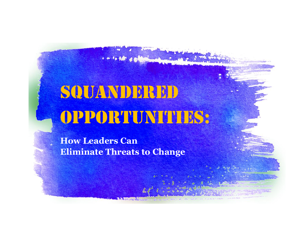# SQUANDERED OPPORTUNITIES:

**How Leaders Can Eliminate Threats to Change**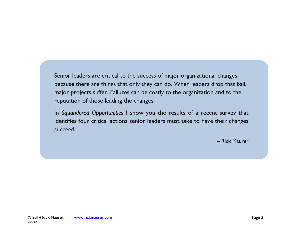Senior leaders are critical to the success of major organizational changes, because there are things that only they can do. When leaders drop that ball, major projects suffer. Failures can be costly to the organization and to the reputation of those leading the changes.

In *Squandered Opportunities* I show you the results of a recent survey that identifies four critical actions senior leaders must take to have their changes succeed.

– Rick Maurer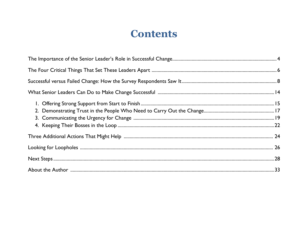### **Contents**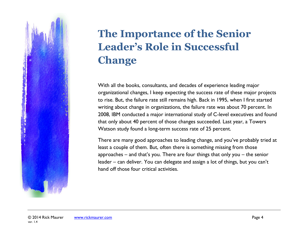# **The Importance of the Senior Leader's Role in Successful Change**

With all the books, consultants, and decades of experience leading major organizational changes, I keep expecting the success rate of these major projects to rise. But, the failure rate still remains high. Back in 1995, when I first started writing about change in organizations, the failure rate was about 70 percent. In 2008, IBM conducted a major international study of C-level executives and found that only about 40 percent of those changes succeeded. Last year, a Towers Watson study found a long-term success rate of 25 percent.

There are many good approaches to leading change, and you've probably tried at least a couple of them. But, often there is something missing from those approaches – and that's you. There are four things that only you – the senior leader – can deliver. You can delegate and assign a lot of things, but you can't hand off those four critical activities.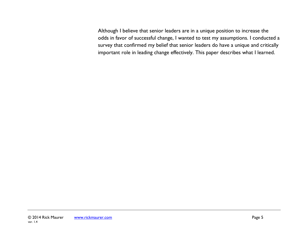Although I believe that senior leaders are in a unique position to increase the odds in favor of successful change, I wanted to test my assumptions. I conducted a survey that confirmed my belief that senior leaders do have a unique and critically important role in leading change effectively. This paper describes what I learned.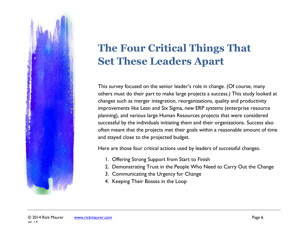

## **The Four Critical Things That Set These Leaders Apart**

This survey focused on the senior leader's role in change. (Of course, many others must do their part to make large projects a success.) This study looked at changes such as merger integration, reorganizations, quality and productivity improvements like Lean and Six Sigma, new ERP systems (enterprise resource planning), and various large Human Resources projects that were considered successful by the individuals initiating them and their organizations. Success also often meant that the projects met their goals within a reasonable amount of time and stayed close to the projected budget.

Here are those four critical actions used by leaders of successful changes.

- 1. Offering Strong Support from Start to Finish
- 2. Demonstrating Trust in the People Who Need to Carry Out the Change
- 3. Communicating the Urgency for Change
- 4. Keeping Their Bosses in the Loop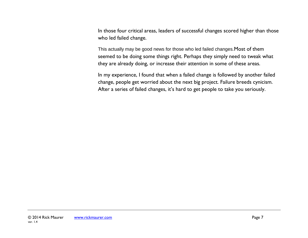In those four critical areas, leaders of successful changes scored higher than those who led failed change.

This actually may be good news for those who led failed changes.Most of them seemed to be doing some things right. Perhaps they simply need to tweak what they are already doing, or increase their attention in some of these areas.

In my experience, I found that when a failed change is followed by another failed change, people get worried about the next big project. Failure breeds cynicism. After a series of failed changes, it's hard to get people to take you seriously.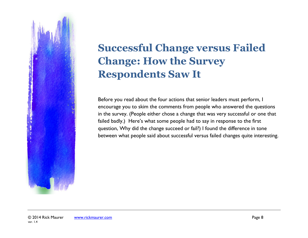

## **Successful Change versus Failed Change: How the Survey Respondents Saw It**

Before you read about the four actions that senior leaders must perform, I encourage you to skim the comments from people who answered the questions in the survey. (People either chose a change that was very successful or one that failed badly.) Here's what some people had to say in response to the first question, Why did the change succeed or fail?) I found the difference in tone between what people said about successful versus failed changes quite interesting.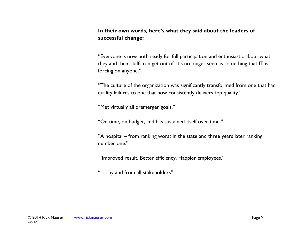**In their own words, here's what they said about the leaders of successful change:**

"Everyone is now both ready for full participation and enthusiastic about what they and their staffs can get out of. It's no longer seen as something that IT is forcing on anyone."

"The culture of the organization was significantly transformed from one that had quality failures to one that now consistently delivers top quality."

"Met virtually all premerger goals."

"On time, on budget, and has sustained itself over time."

"A hospital – from ranking worst in the state and three years later ranking number one."

"Improved result. Better efficiency. Happier employees."

". . . by and from all stakeholders"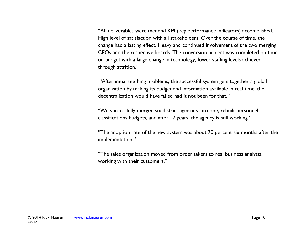"All deliverables were met and KPI (key performance indicators) accomplished. High level of satisfaction with all stakeholders. Over the course of time, the change had a lasting effect. Heavy and continued involvement of the two merging CEOs and the respective boards. The conversion project was completed on time, on budget with a large change in technology, lower staffing levels achieved through attrition."

"After initial teething problems, the successful system gets together a global organization by making its budget and information available in real time, the decentralization would have failed had it not been for that."

"We successfully merged six district agencies into one, rebuilt personnel classifications budgets, and after 17 years, the agency is still working."

"The adoption rate of the new system was about 70 percent six months after the implementation."

"The sales organization moved from order takers to real business analysts working with their customers."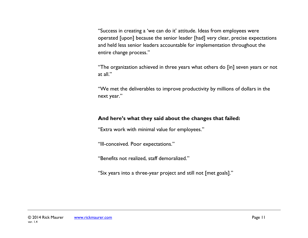"Success in creating a 'we can do it' attitude. Ideas from employees were operated [upon] because the senior leader [had] very clear, precise expectations and held less senior leaders accountable for implementation throughout the entire change process."

"The organization achieved in three years what others do [in] seven years or not at all."

"We met the deliverables to improve productivity by millions of dollars in the next year."

#### **And here's what they said about the changes that failed:**

"Extra work with minimal value for employees."

"Ill-conceived. Poor expectations."

"Benefits not realized, staff demoralized."

"Six years into a three-year project and still not [met goals]."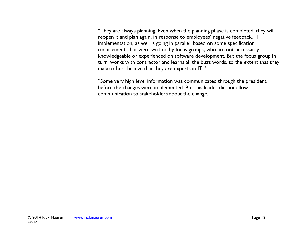"They are always planning. Even when the planning phase is completed, they will reopen it and plan again, in response to employees' negative feedback. IT implementation, as well is going in parallel, based on some specification requirement, that were written by focus groups, who are not necessarily knowledgeable or experienced on software development. But the focus group in turn, works with contractor and learns all the buzz words, to the extent that they make others believe that they are experts in IT."

"Some very high level information was communicated through the president before the changes were implemented. But this leader did not allow communication to stakeholders about the change."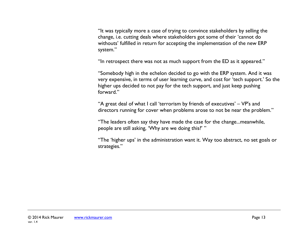"It was typically more a case of trying to convince stakeholders by selling the change, i.e. cutting deals where stakeholders got some of their 'cannot do withouts' fulfilled in return for accepting the implementation of the new ERP system."

"In retrospect there was not as much support from the ED as it appeared."

"Somebody high in the echelon decided to go with the ERP system. And it was very expensive, in terms of user learning curve, and cost for 'tech support.' So the higher ups decided to not pay for the tech support, and just keep pushing forward."

"A great deal of what I call 'terrorism by friends of executives' – VP's and directors running for cover when problems arose to not be near the problem."

"The leaders often say they have made the case for the change...meanwhile, people are still asking, 'Why are we doing this?' "

"The 'higher ups' in the administration want it. Way too abstract, no set goals or strategies."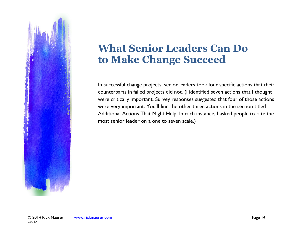

### **What Senior Leaders Can Do to Make Change Succeed**

In successful change projects, senior leaders took four specific actions that their counterparts in failed projects did not. (I identified seven actions that I thought were critically important. Survey responses suggested that four of those actions were very important. You'll find the other three actions in the section titled Additional Actions That Might Help. In each instance, I asked people to rate the most senior leader on a one to seven scale.)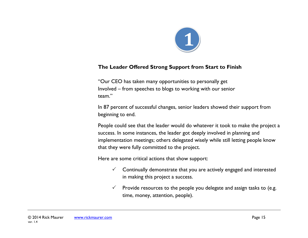

#### **The Leader Offered Strong Support from Start to Finish**

"Our CEO has taken many opportunities to personally get Involved – from speeches to blogs to working with our senior team."

In 87 percent of successful changes, senior leaders showed their support from beginning to end.

People could see that the leader would do whatever it took to make the project a success. In some instances, the leader got deeply involved in planning and implementation meetings; others delegated wisely while still letting people know that they were fully committed to the project.

Here are some critical actions that show support:

- $\checkmark$  Continually demonstrate that you are actively engaged and interested in making this project a success.
- $\checkmark$  Provide resources to the people you delegate and assign tasks to (e.g. time, money, attention, people).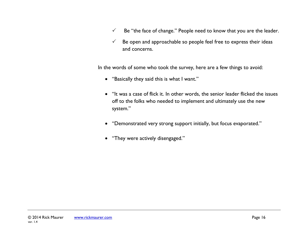- $\checkmark$  Be "the face of change." People need to know that you are the leader.
- $\checkmark$  Be open and approachable so people feel free to express their ideas and concerns.

In the words of some who took the survey, here are a few things to avoid:

- "Basically they said this is what I want."
- "It was a case of flick it. In other words, the senior leader flicked the issues off to the folks who needed to implement and ultimately use the new system."
- "Demonstrated very strong support initially, but focus evaporated."
- "They were actively disengaged."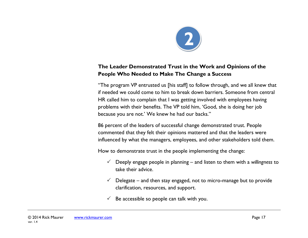

#### **The Leader Demonstrated Trust in the Work and Opinions of the People Who Needed to Make The Change a Success**

"The program VP entrusted us [his staff] to follow through, and we all knew that if needed we could come to him to break down barriers. Someone from central HR called him to complain that I was getting involved with employees having problems with their benefits. The VP told him, 'Good, she is doing her job because you are not.' We knew he had our backs."

86 percent of the leaders of successful change demonstrated trust. People commented that they felt their opinions mattered and that the leaders were influenced by what the managers, employees, and other stakeholders told them.

How to demonstrate trust in the people implementing the change:

- Deeply engage people in planning and listen to them with a *willingness* to take their advice.
- $\checkmark$  Delegate and then stay engaged, not to micro-manage but to provide clarification, resources, and support.
- Be accessible so people can talk with you.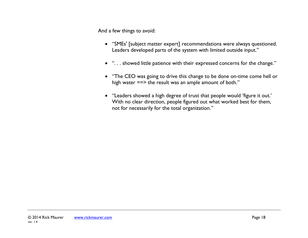And a few things to avoid:

- "SMEs' [subject matter expert] recommendations were always questioned. Leaders developed parts of the system with limited outside input."
- ". . . showed little patience with their expressed concerns for the change."
- "The CEO was going to drive this change to be done on-time come hell or high water  $==$  the result was an ample amount of both."
- "Leaders showed a high degree of trust that people would 'figure it out.' With no clear direction, people figured out what worked best for them, not for necessarily for the total organization."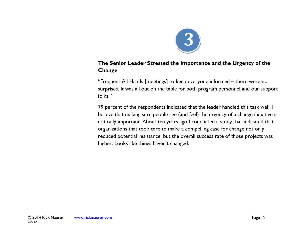

#### **The Senior Leader Stressed the Importance and the Urgency of the Change**

"Frequent All Hands [meetings] to keep everyone informed – there were no surprises. It was all out on the table for both program personnel and our support folks."

79 percent of the respondents indicated that the leader handled this task well. I believe that making sure people see (and feel) the urgency of a change initiative is critically important. About ten years ago I conducted a study that indicated that organizations that took care to make a compelling case for change not only reduced potential resistance, but the overall success rate of those projects was higher. Looks like things haven't changed.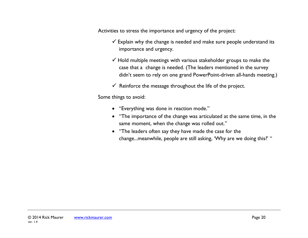Activities to stress the importance and urgency of the project:

- $\checkmark$  Explain why the change is needed and make sure people understand its importance and urgency.
- $\checkmark$  Hold multiple meetings with various stakeholder groups to make the case that a change is needed. (The leaders mentioned in the survey didn't seem to rely on one grand PowerPoint-driven all-hands meeting.)
- $\checkmark$  Reinforce the message throughout the life of the project.

Some things to avoid:

- "Everything was done in reaction mode."
- "The importance of the change was articulated at the same time, in the same moment, when the change was rolled out."
- "The leaders often say they have made the case for the change...meanwhile, people are still asking, 'Why are we doing this?' "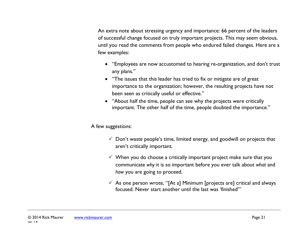An extra note about stressing urgency and importance: 66 percent of the leaders of successful change focused on truly important projects. This may seem obvious, until you read the comments from people who endured failed changes. Here are a few examples:

- "Employees are now accustomed to hearing re-organization, and don't trust any plans."
- "The issues that this leader has tried to fix or mitigate are of great importance to the organization; however, the resulting projects have not been seen as critically useful or effective."
- "About half the time, people can see why the projects were critically important. The other half of the time, people doubted the importance."

#### A few suggestions:

- $\checkmark$  Don't waste people's time, limited energy, and goodwill on projects that aren't critically important.
- $\checkmark$  When you do choose a critically important project make sure that you communicate *why* it is so important before you ever talk about *what* and *how* you are going to proceed.
- $\checkmark$  As one person wrote, "[At a] Minimum [projects are] critical and always focused. Never start another until the last was 'finished'"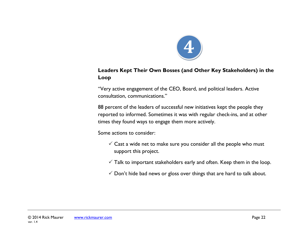

#### **Leaders Kept Their Own Bosses (and Other Key Stakeholders) in the Loop**

"Very active engagement of the CEO, Board, and political leaders. Active consultation, communications."

88 percent of the leaders of successful new initiatives kept the people they reported to informed. Sometimes it was with regular check-ins, and at other times they found ways to engage them more actively.

Some actions to consider:

- $\checkmark$  Cast a wide net to make sure you consider all the people who must support this project.
- $\checkmark$  Talk to important stakeholders early and often. Keep them in the loop.
- $\checkmark$  Don't hide bad news or gloss over things that are hard to talk about.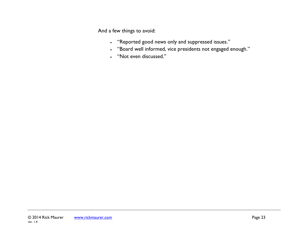And a few things to avoid:

- "Reported good news only and suppressed issues."
- "Board well informed, vice presidents not engaged enough."
- "Not even discussed."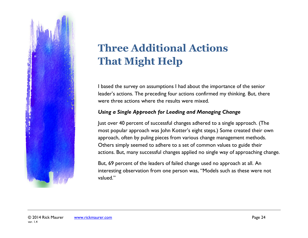

# **Three Additional Actions That Might Help**

I based the survey on assumptions I had about the importance of the senior leader's actions. The preceding four actions confirmed my thinking. But, there were three actions where the results were mixed.

#### *Using a Single Approach for Leading and Managing Change*

Just over 40 percent of successful changes adhered to a single approach. (The most popular approach was John Kotter's eight steps.) Some created their own approach, often by puling pieces from various change management methods. Others simply seemed to adhere to a set of common values to guide their actions. But, many successful changes applied no single way of approaching change.

But, 69 percent of the leaders of failed change used no approach at all. An interesting observation from one person was, "Models such as these were not valued."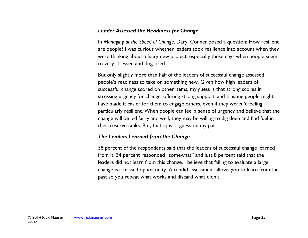#### *Leader Assessed the Readiness for Change.*

In *Managing at the Speed of Change,* Daryl Conner posed a question: How resilient are people? I was curious whether leaders took resilience into account when they were thinking about a hairy new project, especially these days when people seem to very stressed and dog-tired.

But only slightly more than half of the leaders of successful change assessed people's readiness to take on something new. Given how high leaders of successful change scored on other items, my guess is that strong scores in stressing urgency for change, offering strong support, and trusting people might have made it easier for them to engage others, even if they weren't feeling particularly resilient. When people can feel a sense of urgency and believe that the change will be led fairly and well, they may be willing to dig deep and find fuel in their reserve tanks. But, that's just a guess on my part.

#### *The Leaders Learned from the Change*

58 percent of the respondents said that the leaders of successful change learned from it. 34 percent responded "somewhat" and just 8 percent said that the leaders did not learn from this change. I believe that failing to evaluate a large change is a missed opportunity. A candid assessment allows you to learn from the past so you repeat what works and discard what didn't.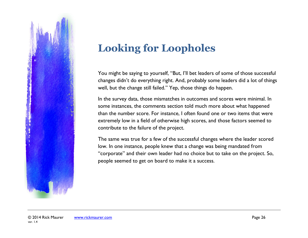

## **Looking for Loopholes**

You might be saying to yourself, "But, I'll bet leaders of some of those successful changes didn't do everything right. And, probably some leaders did a lot of things well, but the change still failed." Yep, those things do happen.

In the survey data, those mismatches in outcomes and scores were minimal. In some instances, the comments section told much more about what happened than the number score. For instance, I often found one or two items that were extremely low in a field of otherwise high scores, and those factors seemed to contribute to the failure of the project.

The same was true for a few of the successful changes where the leader scored low. In one instance, people knew that a change was being mandated from "corporate" and their own leader had no choice but to take on the project. So, people seemed to get on board to make it a success.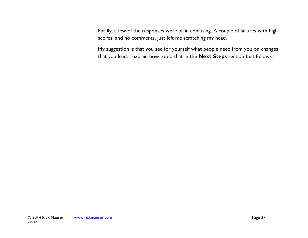Finally, a few of the responses were plain confusing. A couple of failures with high scores, and no comments, just left me scratching my head.

My suggestion is that you see for yourself what people need from you on changes that you lead. I explain how to do that In the **Next Steps** section that follows.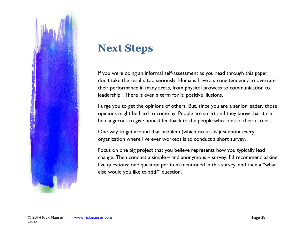

### **Next Steps**

If you were doing an informal self-assessment as you read through this paper, don't take the results too seriously. Humans have a strong tendency to overrate their performance in many areas, from physical prowess to communication to leadership. There is even a term for it: positive illusions.

I urge you to get the opinions of others. But, since you are a senior leader, those opinions might be hard to come by. People are smart and they know that it can be dangerous to give honest feedback to the people who control their careers.

One way to get around that problem (which occurs is just about every organization where I've ever worked) is to conduct a short survey.

Focus on one big project that you believe represents how you typically lead change. Then conduct a simple – and anonymous – survey. I'd recommend asking five questions: one question per item mentioned in this survey, and then a "what else would you like to add?" question.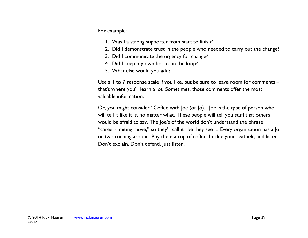For example:

- 1. Was I a strong supporter from start to finish?
- 2. Did I demonstrate trust in the people who needed to carry out the change?
- 3. Did I communicate the urgency for change?
- 4. Did I keep my own bosses in the loop?
- 5. What else would you add?

Use a 1 to 7 response scale if you like, but be sure to leave room for comments – that's where you'll learn a lot. Sometimes, those comments offer the most valuable information.

Or, you might consider "Coffee with Joe (or Jo)." Joe is the type of person who will tell it like it is, no matter what. These people will tell you stuff that others would be afraid to say. The Joe's of the world don't understand the phrase "career-limiting move," so they'll call it like they see it. Every organization has a Jo or two running around. Buy them a cup of coffee, buckle your seatbelt, and listen. Don't explain. Don't defend. Just listen.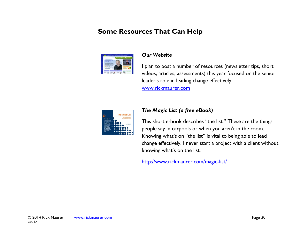### **Some Resources That Can Help**



#### *Our Website*

I plan to post a number of resources (newsletter tips, short videos, articles, assessments) this year focused on the senior leader's role in leading change effectively.

[www.rickmaurer.com](http://www.rickmaurer.com/)



#### *The Magic List (a free eBook)*

This short e-book describes "the list." These are the things people say in carpools or when you aren't in the room. Knowing what's on "the list" is vital to being able to lead change effectively. I never start a project with a client without knowing what's on the list.

<http://www.rickmaurer.com/magic-list/>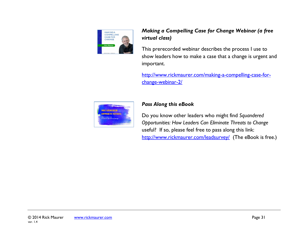

#### *Making a Compelling Case for Change Webinar (a free virtual class)*

This prerecorded webinar describes the process I use to show leaders how to make a case that a change is urgent and important.

[http://www.rickmaurer.com/making-a-compelling-case-for](http://www.rickmaurer.com/making-a-compelling-case-for-change-webinar-2/)[change-webinar-2/](http://www.rickmaurer.com/making-a-compelling-case-for-change-webinar-2/)



#### *Pass Along this eBook*

Do you know other leaders who might find *Squandered Opportunities: How Leaders Can Eliminate Threats to Change* useful? If so, please feel free to pass along this link: <http://www.rickmaurer.com/leadsurvey/> (The eBook is free.)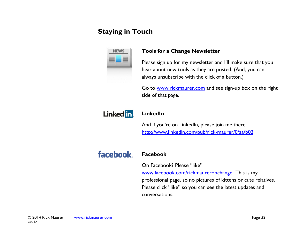### **Staying in Touch**

#### **Tools for a Change Newsletter**

Please sign up for my newsletter and I'll make sure that you hear about new tools as they are posted. (And, you can always unsubscribe with the click of a button.)

Go to [www.rickmaurer.com](http://www.rickmaurer.com/) and see sign-up box on the right side of that page.



#### **LinkedIn**

And if you're on LinkedIn, please join me there. <http://www.linkedin.com/pub/rick-maurer/0/aa/b02>

### facebook.

#### **Facebook**

On Facebook? Please "like" [www.facebook.com/rickmaureronchange](http://www.facebook.com/rickmaureronchange) This is my professional page, so no pictures of kittens or cute relatives. Please click "like" so you can see the latest updates and conversations.